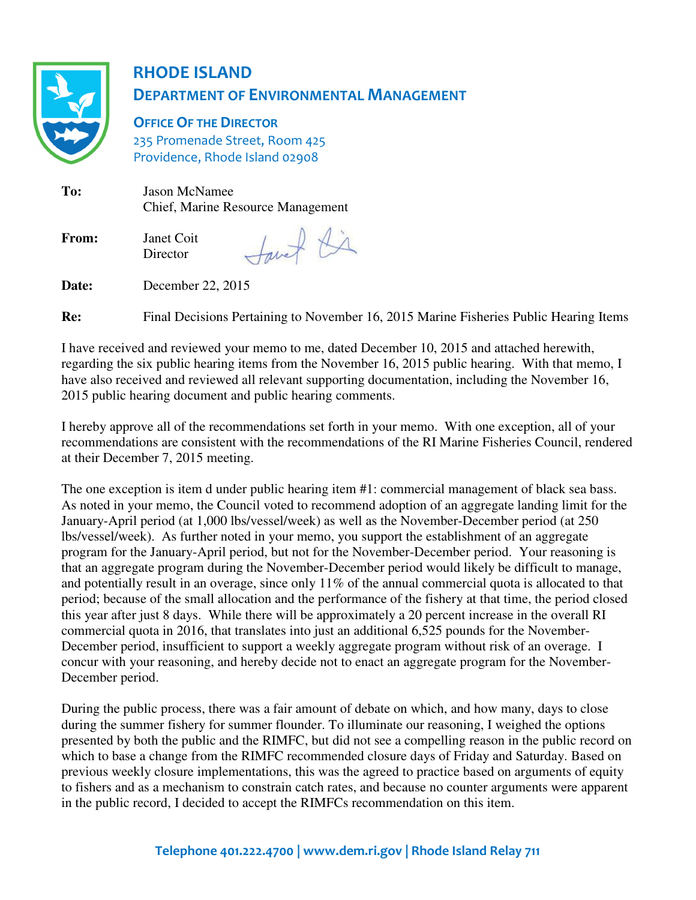

# RHODE ISLAND DEPARTMENT OF ENVIRONMENTAL MANAGEMENT

**OFFICE OF THE DIRECTOR** 235 Promenade Street, Room 425 Providence, Rhode Island 02908

**To:** Jason McNamee Chief, Marine Resource Management

**From:** Janet Coit **Director** 

tavet di

**Date:** December 22, 2015

**Re:** Final Decisions Pertaining to November 16, 2015 Marine Fisheries Public Hearing Items

I have received and reviewed your memo to me, dated December 10, 2015 and attached herewith, regarding the six public hearing items from the November 16, 2015 public hearing. With that memo, I have also received and reviewed all relevant supporting documentation, including the November 16, 2015 public hearing document and public hearing comments.

I hereby approve all of the recommendations set forth in your memo. With one exception, all of your recommendations are consistent with the recommendations of the RI Marine Fisheries Council, rendered at their December 7, 2015 meeting.

The one exception is item d under public hearing item #1: commercial management of black sea bass. As noted in your memo, the Council voted to recommend adoption of an aggregate landing limit for the January-April period (at 1,000 lbs/vessel/week) as well as the November-December period (at 250 lbs/vessel/week). As further noted in your memo, you support the establishment of an aggregate program for the January-April period, but not for the November-December period. Your reasoning is that an aggregate program during the November-December period would likely be difficult to manage, and potentially result in an overage, since only 11% of the annual commercial quota is allocated to that period; because of the small allocation and the performance of the fishery at that time, the period closed this year after just 8 days. While there will be approximately a 20 percent increase in the overall RI commercial quota in 2016, that translates into just an additional 6,525 pounds for the November-December period, insufficient to support a weekly aggregate program without risk of an overage. I concur with your reasoning, and hereby decide not to enact an aggregate program for the November-December period.

During the public process, there was a fair amount of debate on which, and how many, days to close during the summer fishery for summer flounder. To illuminate our reasoning, I weighed the options presented by both the public and the RIMFC, but did not see a compelling reason in the public record on which to base a change from the RIMFC recommended closure days of Friday and Saturday. Based on previous weekly closure implementations, this was the agreed to practice based on arguments of equity to fishers and as a mechanism to constrain catch rates, and because no counter arguments were apparent in the public record, I decided to accept the RIMFCs recommendation on this item.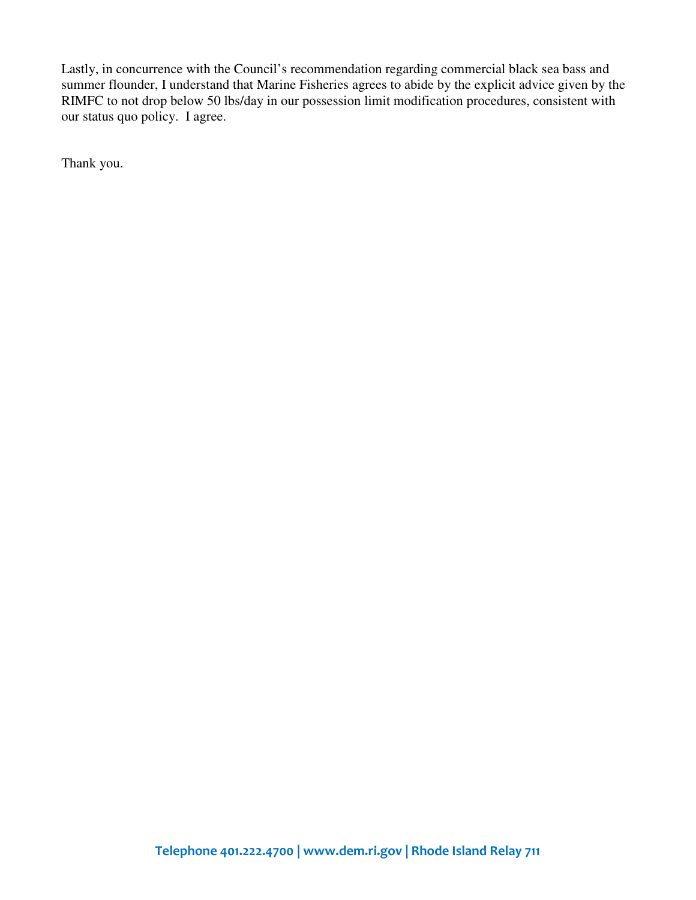Lastly, in concurrence with the Council's recommendation regarding commercial black sea bass and summer flounder, I understand that Marine Fisheries agrees to abide by the explicit advice given by the RIMFC to not drop below 50 lbs/day in our possession limit modification procedures, consistent with our status quo policy. I agree.

Thank you.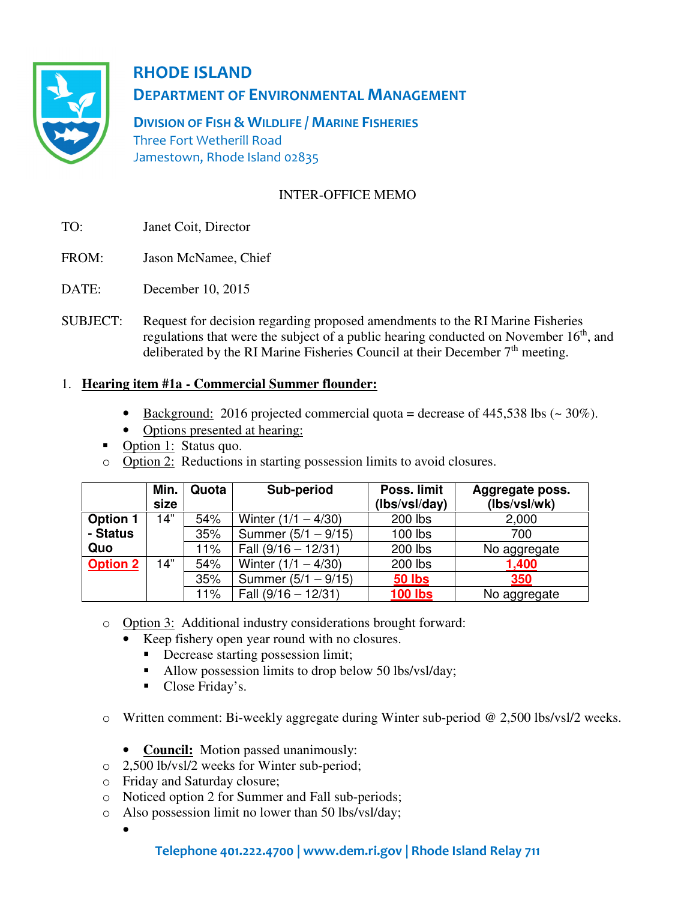

RHODE ISLAND DEPARTMENT OF ENVIRONMENTAL MANAGEMENT

DIVISION OF FISH & WILDLIFE / MARINE FISHERIES Three Fort Wetherill Road Jamestown, Rhode Island 02835

# INTER-OFFICE MEMO

- TO: Janet Coit, Director
- FROM: Jason McNamee, Chief
- DATE: December 10, 2015
- SUBJECT: Request for decision regarding proposed amendments to the RI Marine Fisheries regulations that were the subject of a public hearing conducted on November 16<sup>th</sup>, and deliberated by the RI Marine Fisheries Council at their December  $7<sup>th</sup>$  meeting.

## 1. **Hearing item #1a - Commercial Summer flounder:**

- Background: 2016 projected commercial quota = decrease of 445,538 lbs  $(\sim 30\%)$ .
- Options presented at hearing:
- Option 1: Status quo.
- o Option 2: Reductions in starting possession limits to avoid closures.

|                 | Min.<br>size | Quota | Sub-period            | Poss. limit<br>(lbs/vsl/day) | Aggregate poss.<br>(lbs/vsl/wk) |
|-----------------|--------------|-------|-----------------------|------------------------------|---------------------------------|
| <b>Option 1</b> | 14"          | 54%   | Winter $(1/1 - 4/30)$ | 200 lbs                      | 2,000                           |
| - Status        |              | 35%   | Summer $(5/1 - 9/15)$ | 100 lbs                      | 700                             |
| Quo             |              | 11%   | Fall $(9/16 - 12/31)$ | 200 lbs                      | No aggregate                    |
| <b>Option 2</b> | 14"          | 54%   | Winter $(1/1 - 4/30)$ | 200 lbs                      | 1,400                           |
|                 |              | 35%   | Summer $(5/1 - 9/15)$ | <b>50 lbs</b>                | 350                             |
|                 |              | 11%   | Fall $(9/16 - 12/31)$ | <b>100 lbs</b>               | No aggregate                    |

- o Option 3: Additional industry considerations brought forward:
	- Keep fishery open year round with no closures.
		- Decrease starting possession limit;
		- Allow possession limits to drop below 50 lbs/vsl/day;
		- Close Friday's.
- o Written comment: Bi-weekly aggregate during Winter sub-period @ 2,500 lbs/vsl/2 weeks.
	- **Council:** Motion passed unanimously:
- o 2,500 lb/vsl/2 weeks for Winter sub-period;
- o Friday and Saturday closure;
- o Noticed option 2 for Summer and Fall sub-periods;
- o Also possession limit no lower than 50 lbs/vsl/day;
	- •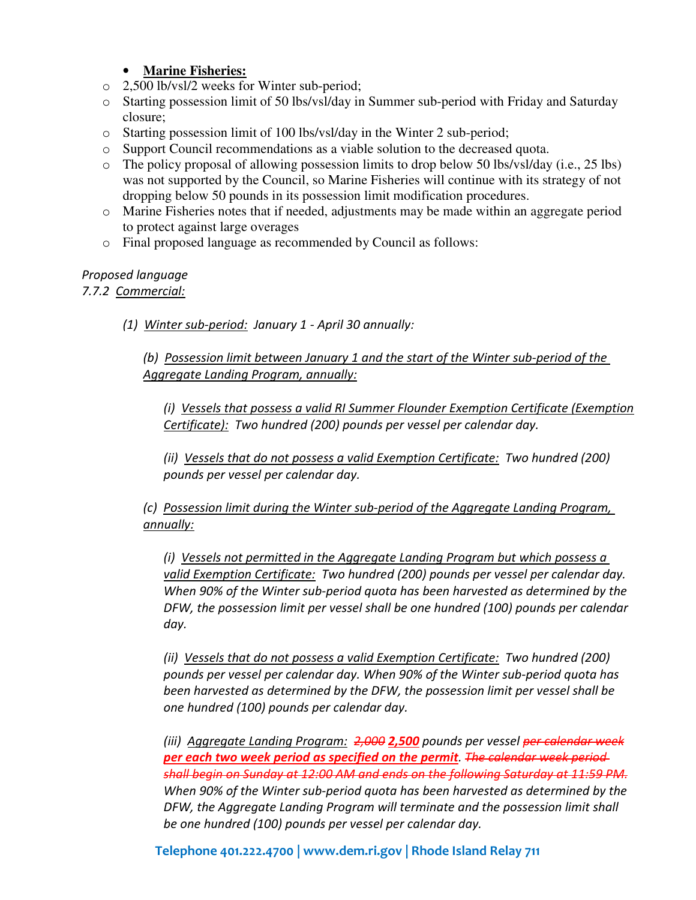## • **Marine Fisheries:**

- o 2,500 lb/vsl/2 weeks for Winter sub-period;
- o Starting possession limit of 50 lbs/vsl/day in Summer sub-period with Friday and Saturday closure;
- o Starting possession limit of 100 lbs/vsl/day in the Winter 2 sub-period;
- o Support Council recommendations as a viable solution to the decreased quota.
- $\circ$  The policy proposal of allowing possession limits to drop below 50 lbs/vsl/day (i.e., 25 lbs) was not supported by the Council, so Marine Fisheries will continue with its strategy of not dropping below 50 pounds in its possession limit modification procedures.
- o Marine Fisheries notes that if needed, adjustments may be made within an aggregate period to protect against large overages
- o Final proposed language as recommended by Council as follows:

#### Proposed language 7.7.2 Commercial:

(1) Winter sub-period: January 1 - April 30 annually:

(b) Possession limit between January 1 and the start of the Winter sub-period of the Aggregate Landing Program, annually:

(i) Vessels that possess a valid RI Summer Flounder Exemption Certificate (Exemption Certificate): Two hundred (200) pounds per vessel per calendar day.

(ii) Vessels that do not possess a valid Exemption Certificate: Two hundred (200) pounds per vessel per calendar day.

(c) Possession limit during the Winter sub-period of the Aggregate Landing Program, annually:

(i) Vessels not permitted in the Aggregate Landing Program but which possess a valid Exemption Certificate: Two hundred (200) pounds per vessel per calendar day. When 90% of the Winter sub-period quota has been harvested as determined by the DFW, the possession limit per vessel shall be one hundred (100) pounds per calendar day.

(ii) Vessels that do not possess a valid Exemption Certificate: Two hundred (200) pounds per vessel per calendar day. When 90% of the Winter sub-period quota has been harvested as determined by the DFW, the possession limit per vessel shall be one hundred (100) pounds per calendar day.

(iii) Aggregate Landing Program: 2,000 2,500 pounds per vessel per calendar week per each two week period as specified on the permit. The calendar week periodshall begin on Sunday at 12:00 AM and ends on the following Saturday at 11:59 PM. When 90% of the Winter sub-period quota has been harvested as determined by the DFW, the Aggregate Landing Program will terminate and the possession limit shall be one hundred (100) pounds per vessel per calendar day.

Telephone 401.222.4700 | www.dem.ri.gov | Rhode Island Relay 711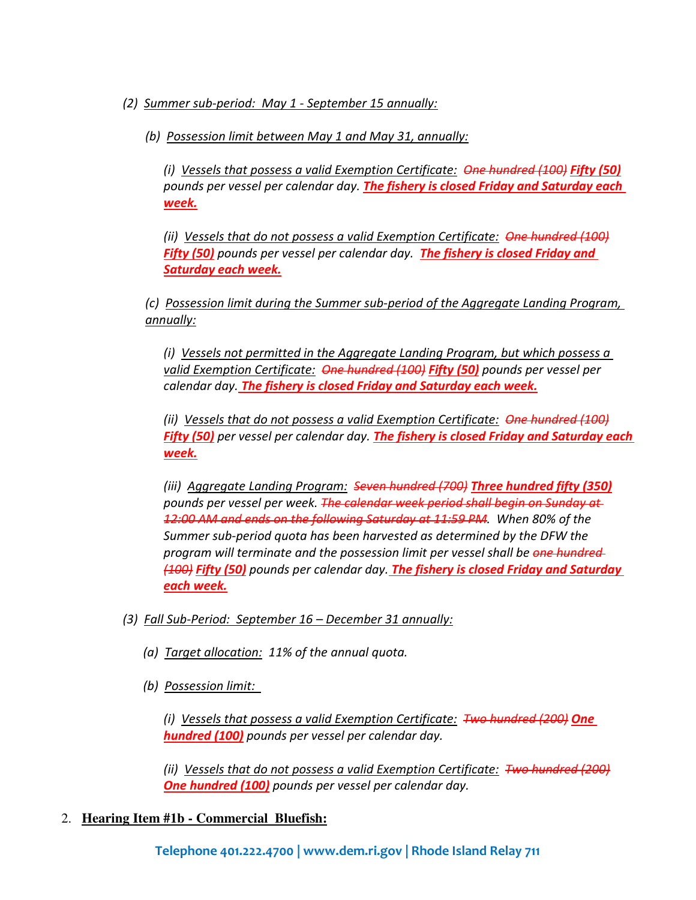(2) Summer sub-period: May 1 - September 15 annually:

(b) Possession limit between May 1 and May 31, annually:

(i) Vessels that possess a valid Exemption Certificate:  $\Theta$ ne hundred (100) Fifty (50) pounds per vessel per calendar day. The fishery is closed Friday and Saturday each week.

(ii) Vessels that do not possess a valid Exemption Certificate: One hundred (100) Fifty (50) pounds per vessel per calendar day. The fishery is closed Friday and Saturday each week.

(c) Possession limit during the Summer sub-period of the Aggregate Landing Program, annually:

(i) Vessels not permitted in the Aggregate Landing Program, but which possess a valid Exemption Certificate: One hundred (100) Fifty (50) pounds per vessel per calendar day. The fishery is closed Friday and Saturday each week.

(ii) Vessels that do not possess a valid Exemption Certificate: One hundred (100) Fifty (50) per vessel per calendar day. The fishery is closed Friday and Saturday each week.

(iii) Aggregate Landing Program: Seven hundred (700) Three hundred fifty (350) pounds per vessel per week. The calendar week period shall begin on Sunday at 12:00 AM and ends on the following Saturday at 11:59 PM. When 80% of the Summer sub-period quota has been harvested as determined by the DFW the program will terminate and the possession limit per vessel shall be one hundred-(400) Fifty (50) pounds per calendar day. The fishery is closed Friday and Saturday each week.

- (3) Fall Sub-Period: September 16 December 31 annually:
	- (a) Target allocation: 11% of the annual quota.
	- (b) Possession limit:

(i) Vessels that possess a valid Exemption Certificate:  $\mathcal{F}_{\mathbf{W}\mathbf{Q}}$  hundred (200) One hundred (100) pounds per vessel per calendar day.

(ii) Vessels that do not possess a valid Exemption Certificate: Two hundred (200) One hundred (100) pounds per vessel per calendar day.

## 2. **Hearing Item #1b - Commercial Bluefish:**

Telephone 401.222.4700 | www.dem.ri.gov | Rhode Island Relay 711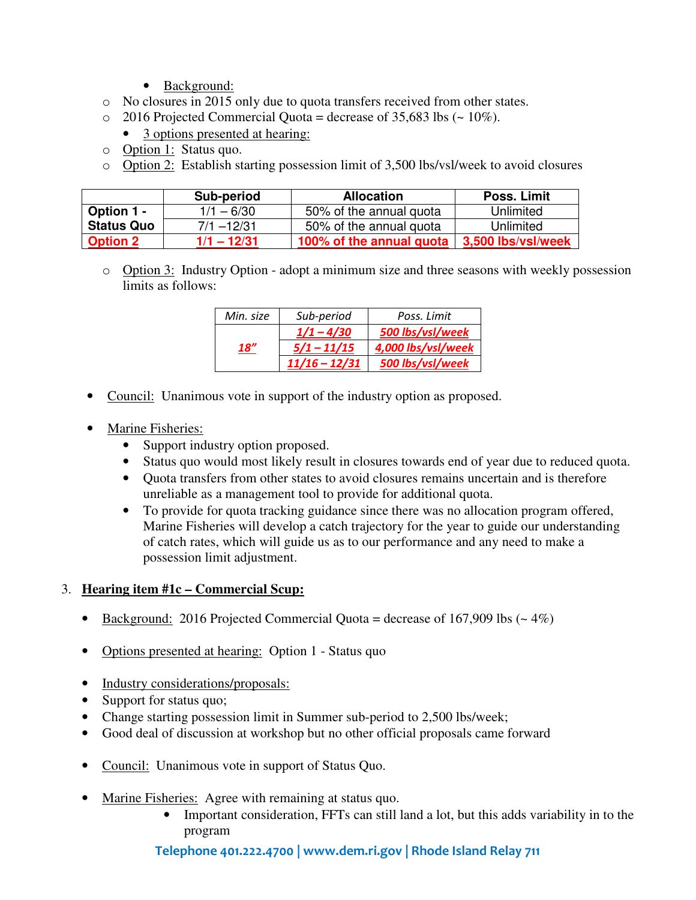- Background:
- o No closures in 2015 only due to quota transfers received from other states.
- $\degree$  2016 Projected Commercial Quota = decrease of 35,683 lbs ( $\sim$  10%).
	- 3 options presented at hearing:
- o Option 1: Status quo.
- o Option 2: Establish starting possession limit of 3,500 lbs/vsl/week to avoid closures

|                   | Sub-period    | <b>Allocation</b>        | Poss. Limit        |
|-------------------|---------------|--------------------------|--------------------|
| <b>Option 1 -</b> | $1/1 - 6/30$  | 50% of the annual quota  | Unlimited          |
| <b>Status Quo</b> | $7/1 - 12/31$ | 50% of the annual quota  | Unlimited          |
| <b>Option 2</b>   | $1/1 - 12/31$ | 100% of the annual quota | 3,500 lbs/vsl/week |

o Option 3: Industry Option - adopt a minimum size and three seasons with weekly possession limits as follows:

| Min. size | Sub-period      | Poss. Limit        |  |
|-----------|-----------------|--------------------|--|
|           | $1/1 - 4/30$    | 500 lbs/vsl/week   |  |
| 18''      | $5/1 - 11/15$   | 4,000 lbs/vsl/week |  |
|           | $11/16 - 12/31$ | 500 lbs/vsl/week   |  |

- Council: Unanimous vote in support of the industry option as proposed.
- Marine Fisheries:
	- Support industry option proposed.
	- Status quo would most likely result in closures towards end of year due to reduced quota.
	- Ouota transfers from other states to avoid closures remains uncertain and is therefore unreliable as a management tool to provide for additional quota.
	- To provide for quota tracking guidance since there was no allocation program offered, Marine Fisheries will develop a catch trajectory for the year to guide our understanding of catch rates, which will guide us as to our performance and any need to make a possession limit adjustment.

#### 3. **Hearing item #1c – Commercial Scup:**

- Background: 2016 Projected Commercial Quota = decrease of 167,909 lbs  $(~4\%)$
- Options presented at hearing: Option 1 Status quo
- Industry considerations/proposals:
- Support for status quo;
- Change starting possession limit in Summer sub-period to 2,500 lbs/week;
- Good deal of discussion at workshop but no other official proposals came forward
- Council: Unanimous vote in support of Status Quo.
- Marine Fisheries: Agree with remaining at status quo.
	- Important consideration, FFTs can still land a lot, but this adds variability in to the program

## Telephone 401.222.4700 | www.dem.ri.gov | Rhode Island Relay 711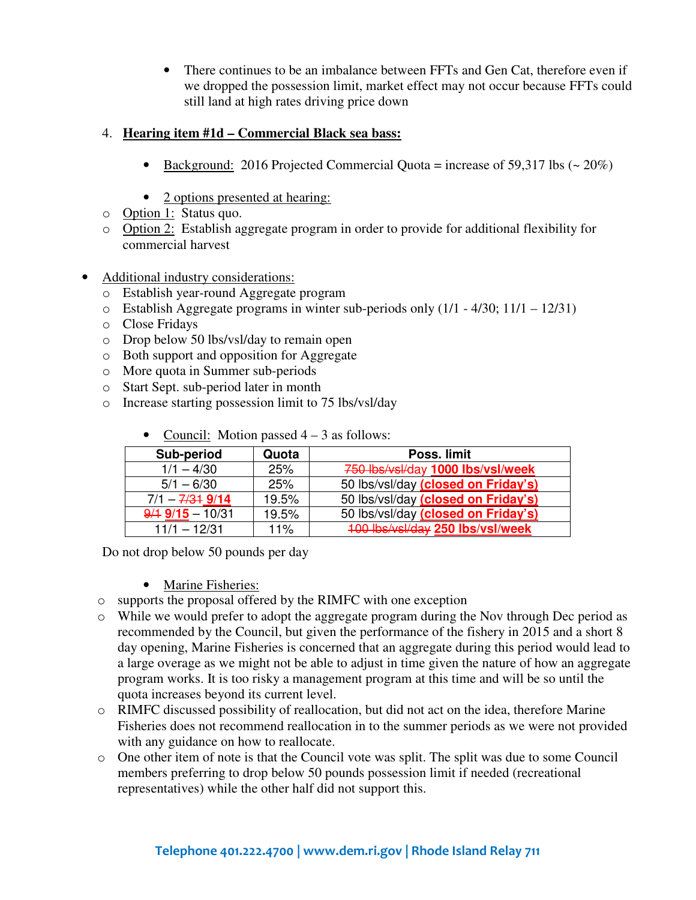• There continues to be an imbalance between FFTs and Gen Cat, therefore even if we dropped the possession limit, market effect may not occur because FFTs could still land at high rates driving price down

#### 4. **Hearing item #1d – Commercial Black sea bass:**

- Background: 2016 Projected Commercial Quota = increase of 59,317 lbs  $(20\%)$
- 2 options presented at hearing:
- o Option 1: Status quo.
- o Option 2: Establish aggregate program in order to provide for additional flexibility for commercial harvest
- Additional industry considerations:
	- o Establish year-round Aggregate program
	- o Establish Aggregate programs in winter sub-periods only (1/1 4/30; 11/1 12/31)
	- o Close Fridays
	- o Drop below 50 lbs/vsl/day to remain open
	- o Both support and opposition for Aggregate
	- o More quota in Summer sub-periods
	- o Start Sept. sub-period later in month
	- o Increase starting possession limit to 75 lbs/vsl/day

| Sub-period                        | Quota | Poss. limit                         |
|-----------------------------------|-------|-------------------------------------|
| $1/1 - 4/30$                      | 25%   | 750 lbs/vsl/day 1000 lbs/vsl/week   |
| $5/1 - 6/30$                      | 25%   | 50 lbs/vsl/day (closed on Friday's) |
| $7/1 - \frac{7}{31} \frac{9}{14}$ | 19.5% | 50 lbs/vsl/day (closed on Friday's) |
| $9/19/15 - 10/31$                 | 19.5% | 50 lbs/vsl/day (closed on Friday's) |
| $11/1 - 12/31$                    | 11%   | 100 lbs/vsl/day 250 lbs/vsl/week    |

• Council: Motion passed  $4 - 3$  as follows:

Do not drop below 50 pounds per day

- Marine Fisheries:
- o supports the proposal offered by the RIMFC with one exception
- $\circ$  While we would prefer to adopt the aggregate program during the Nov through Dec period as recommended by the Council, but given the performance of the fishery in 2015 and a short 8 day opening, Marine Fisheries is concerned that an aggregate during this period would lead to a large overage as we might not be able to adjust in time given the nature of how an aggregate program works. It is too risky a management program at this time and will be so until the quota increases beyond its current level.
- $\circ$  RIMFC discussed possibility of reallocation, but did not act on the idea, therefore Marine Fisheries does not recommend reallocation in to the summer periods as we were not provided with any guidance on how to reallocate.
- o One other item of note is that the Council vote was split. The split was due to some Council members preferring to drop below 50 pounds possession limit if needed (recreational representatives) while the other half did not support this.